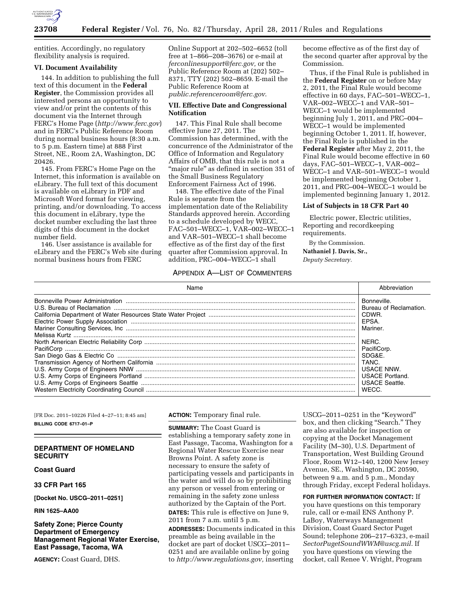

entities. Accordingly, no regulatory flexibility analysis is required.

# **VI. Document Availability**

144. In addition to publishing the full text of this document in the **Federal Register**, the Commission provides all interested persons an opportunity to view and/or print the contents of this document via the Internet through FERC's Home Page (*<http://www.ferc.gov>*) and in FERC's Public Reference Room during normal business hours (8:30 a.m. to 5 p.m. Eastern time) at 888 First Street, NE., Room 2A, Washington, DC 20426.

145. From FERC's Home Page on the Internet, this information is available on eLibrary. The full text of this document is available on eLibrary in PDF and Microsoft Word format for viewing, printing, and/or downloading. To access this document in eLibrary, type the docket number excluding the last three digits of this document in the docket number field.

146. User assistance is available for eLibrary and the FERC's Web site during normal business hours from FERC

Online Support at 202–502–6652 (toll free at 1–866–208–3676) or e-mail at *[ferconlinesupport@ferc.gov,](mailto:ferconlinesupport@ferc.gov)* or the Public Reference Room at (202) 502– 8371, TTY (202) 502–8659. E-mail the Public Reference Room at *[public.referenceroom@ferc.gov](mailto:public.referenceroom@ferc.gov)*.

# **VII. Effective Date and Congressional Notification**

147. This Final Rule shall become effective June 27, 2011. The Commission has determined, with the concurrence of the Administrator of the Office of Information and Regulatory Affairs of OMB, that this rule is not a "major rule" as defined in section 351 of the Small Business Regulatory Enforcement Fairness Act of 1996.

148. The effective date of the Final Rule is separate from the implementation date of the Reliability Standards approved herein. According to a schedule developed by WECC, FAC–501–WECC–1, VAR–002–WECC–1 and VAR–501–WECC–1 shall become effective as of the first day of the first quarter after Commission approval. In addition, PRC–004–WECC–1 shall

# APPENDIX A—LIST OF COMMENTERS

become effective as of the first day of the second quarter after approval by the Commission.

Thus, if the Final Rule is published in the **Federal Register** on or before May 2, 2011, the Final Rule would become effective in 60 days, FAC–501–WECC–1, VAR–002–WECC–1 and VAR–501– WECC–1 would be implemented beginning July 1, 2011, and PRC–004– WECC–1 would be implemented beginning October 1, 2011. If, however, the Final Rule is published in the **Federal Register** after May 2, 2011, the Final Rule would become effective in 60 days, FAC–501–WECC–1, VAR–002– WECC–1 and VAR–501–WECC–1 would be implemented beginning October 1, 2011, and PRC–004–WECC–1 would be implemented beginning January 1, 2012.

# **List of Subjects in 18 CFR Part 40**

Electric power, Electric utilities, Reporting and recordkeeping requirements.

By the Commission. **Nathaniel J. Davis, Sr.,**  *Deputy Secretary.* 

| Bonneville.<br>Bureau of Reclamation.<br>California Department of Water Resources State Water Project ……………………………………………………………………………………   CDWR.<br>EPSA.<br>Mariner.<br>NERC.<br>PacifiCorp.<br>SDG&E.<br>I TANC.<br><b>USACE NNW.</b><br>USACE Portland.<br>USACE Seattle.<br>WECC. | Name | Abbreviation |
|-------------------------------------------------------------------------------------------------------------------------------------------------------------------------------------------------------------------------------------------------------------------------------------|------|--------------|
|                                                                                                                                                                                                                                                                                     |      |              |

[FR Doc. 2011–10226 Filed 4–27–11; 8:45 am] **BILLING CODE 6717–01–P** 

# **DEPARTMENT OF HOMELAND SECURITY**

**Coast Guard** 

**33 CFR Part 165** 

**[Docket No. USCG–2011–0251]** 

**RIN 1625–AA00** 

**Safety Zone; Pierce County Department of Emergency Management Regional Water Exercise, East Passage, Tacoma, WA** 

**AGENCY:** Coast Guard, DHS.

# **ACTION:** Temporary final rule.

**SUMMARY:** The Coast Guard is establishing a temporary safety zone in East Passage, Tacoma, Washington for a Regional Water Rescue Exercise near Browns Point. A safety zone is necessary to ensure the safety of participating vessels and participants in the water and will do so by prohibiting any person or vessel from entering or remaining in the safety zone unless authorized by the Captain of the Port. **DATES:** This rule is effective on June 9, 2011 from 7 a.m. until 5 p.m.

**ADDRESSES:** Documents indicated in this preamble as being available in the docket are part of docket USCG–2011– 0251 and are available online by going to *[http://www.regulations.gov,](http://www.regulations.gov)* inserting

USCG–2011–0251 in the ''Keyword'' box, and then clicking "Search." They are also available for inspection or copying at the Docket Management Facility (M–30), U.S. Department of Transportation, West Building Ground Floor, Room W12–140, 1200 New Jersey Avenue, SE., Washington, DC 20590, between 9 a.m. and 5 p.m., Monday through Friday, except Federal holidays.

**FOR FURTHER INFORMATION CONTACT:** If you have questions on this temporary rule, call or e-mail ENS Anthony P. LaBoy, Waterways Management Division, Coast Guard Sector Puget Sound; telephone 206–217–6323, e-mail *[SectorPugetSoundWWM@uscg.mil.](mailto:SectorPugetSoundWWM@uscg.mil)* If you have questions on viewing the docket, call Renee V. Wright, Program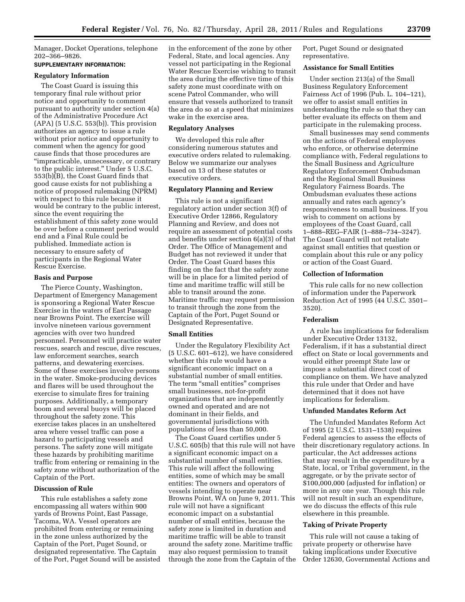Manager, Docket Operations, telephone 202–366–9826.

# **SUPPLEMENTARY INFORMATION:**

# **Regulatory Information**

The Coast Guard is issuing this temporary final rule without prior notice and opportunity to comment pursuant to authority under section 4(a) of the Administrative Procedure Act  $(APA)$  (5 U.S.C. 553(b)). This provision authorizes an agency to issue a rule without prior notice and opportunity to comment when the agency for good cause finds that those procedures are ''impracticable, unnecessary, or contrary to the public interest.'' Under 5 U.S.C. 553(b)(B), the Coast Guard finds that good cause exists for not publishing a notice of proposed rulemaking (NPRM) with respect to this rule because it would be contrary to the public interest, since the event requiring the establishment of this safety zone would be over before a comment period would end and a Final Rule could be published. Immediate action is necessary to ensure safety of participants in the Regional Water Rescue Exercise.

### **Basis and Purpose**

The Pierce County, Washington, Department of Emergency Management is sponsoring a Regional Water Rescue Exercise in the waters of East Passage near Browns Point. The exercise will involve nineteen various government agencies with over two hundred personnel. Personnel will practice water rescues, search and rescue, dive rescues, law enforcement searches, search patterns, and dewatering exercises. Some of these exercises involve persons in the water. Smoke-producing devices and flares will be used throughout the exercise to simulate fires for training purposes. Additionally, a temporary boom and several buoys will be placed throughout the safety zone. This exercise takes places in an unsheltered area where vessel traffic can pose a hazard to participating vessels and persons. The safety zone will mitigate these hazards by prohibiting maritime traffic from entering or remaining in the safety zone without authorization of the Captain of the Port.

# **Discussion of Rule**

This rule establishes a safety zone encompassing all waters within 900 yards of Browns Point, East Passage, Tacoma, WA. Vessel operators are prohibited from entering or remaining in the zone unless authorized by the Captain of the Port, Puget Sound, or designated representative. The Captain of the Port, Puget Sound will be assisted in the enforcement of the zone by other Federal, State, and local agencies. Any vessel not participating in the Regional Water Rescue Exercise wishing to transit the area during the effective time of this safety zone must coordinate with on scene Patrol Commander, who will ensure that vessels authorized to transit the area do so at a speed that minimizes wake in the exercise area.

# **Regulatory Analyses**

We developed this rule after considering numerous statutes and executive orders related to rulemaking. Below we summarize our analyses based on 13 of these statutes or executive orders.

# **Regulatory Planning and Review**

This rule is not a significant regulatory action under section 3(f) of Executive Order 12866, Regulatory Planning and Review, and does not require an assessment of potential costs and benefits under section 6(a)(3) of that Order. The Office of Management and Budget has not reviewed it under that Order. The Coast Guard bases this finding on the fact that the safety zone will be in place for a limited period of time and maritime traffic will still be able to transit around the zone. Maritime traffic may request permission to transit through the zone from the Captain of the Port, Puget Sound or Designated Representative.

#### **Small Entities**

Under the Regulatory Flexibility Act (5 U.S.C. 601–612), we have considered whether this rule would have a significant economic impact on a substantial number of small entities. The term "small entities" comprises small businesses, not-for-profit organizations that are independently owned and operated and are not dominant in their fields, and governmental jurisdictions with populations of less than 50,000.

The Coast Guard certifies under 5 U.S.C. 605(b) that this rule will not have a significant economic impact on a substantial number of small entities. This rule will affect the following entities, some of which may be small entities: The owners and operators of vessels intending to operate near Browns Point, WA on June 9, 2011. This rule will not have a significant economic impact on a substantial number of small entities, because the safety zone is limited in duration and maritime traffic will be able to transit around the safety zone. Maritime traffic may also request permission to transit through the zone from the Captain of the Port, Puget Sound or designated representative.

# **Assistance for Small Entities**

Under section 213(a) of the Small Business Regulatory Enforcement Fairness Act of 1996 (Pub. L. 104–121), we offer to assist small entities in understanding the rule so that they can better evaluate its effects on them and participate in the rulemaking process.

Small businesses may send comments on the actions of Federal employees who enforce, or otherwise determine compliance with, Federal regulations to the Small Business and Agriculture Regulatory Enforcement Ombudsman and the Regional Small Business Regulatory Fairness Boards. The Ombudsman evaluates these actions annually and rates each agency's responsiveness to small business. If you wish to comment on actions by employees of the Coast Guard, call 1–888–REG–FAIR (1–888–734–3247). The Coast Guard will not retaliate against small entities that question or complain about this rule or any policy or action of the Coast Guard.

### **Collection of Information**

This rule calls for no new collection of information under the Paperwork Reduction Act of 1995 (44 U.S.C. 3501– 3520).

### **Federalism**

A rule has implications for federalism under Executive Order 13132, Federalism, if it has a substantial direct effect on State or local governments and would either preempt State law or impose a substantial direct cost of compliance on them. We have analyzed this rule under that Order and have determined that it does not have implications for federalism.

## **Unfunded Mandates Reform Act**

The Unfunded Mandates Reform Act of 1995 (2 U.S.C. 1531–1538) requires Federal agencies to assess the effects of their discretionary regulatory actions. In particular, the Act addresses actions that may result in the expenditure by a State, local, or Tribal government, in the aggregate, or by the private sector of \$100,000,000 (adjusted for inflation) or more in any one year. Though this rule will not result in such an expenditure, we do discuss the effects of this rule elsewhere in this preamble.

# **Taking of Private Property**

This rule will not cause a taking of private property or otherwise have taking implications under Executive Order 12630, Governmental Actions and